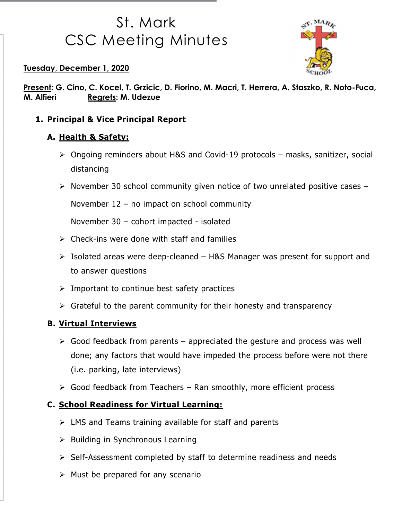# St. Mark CSC Meeting Minutes



Tuesday, December 1, 2020

Present: G. Cino, C. Kocel, T. Grzicic, D. Fiorino, M. Macri, T. Herrera, A. Staszko, R. Noto-Fuca, M. Alfieri Regrets: M. Udezue

1. Principal & Vice Principal Report

### A. Health & Safety:

- Ongoing reminders about H&S and Covid-19 protocols masks, sanitizer, social distancing
- $\triangleright$  November 30 school community given notice of two unrelated positive cases –

November 12 – no impact on school community

November 30 – cohort impacted - isolated

- $\triangleright$  Check-ins were done with staff and families
- $\triangleright$  Isolated areas were deep-cleaned H&S Manager was present for support and to answer questions
- $\triangleright$  Important to continue best safety practices
- $\triangleright$  Grateful to the parent community for their honesty and transparency

#### B. Virtual Interviews

- $\triangleright$  Good feedback from parents appreciated the gesture and process was well done; any factors that would have impeded the process before were not there (i.e. parking, late interviews)
- $\triangleright$  Good feedback from Teachers Ran smoothly, more efficient process

#### C. School Readiness for Virtual Learning:

- $\triangleright$  LMS and Teams training available for staff and parents
- $\triangleright$  Building in Synchronous Learning
- $\triangleright$  Self-Assessment completed by staff to determine readiness and needs
- $\triangleright$  Must be prepared for any scenario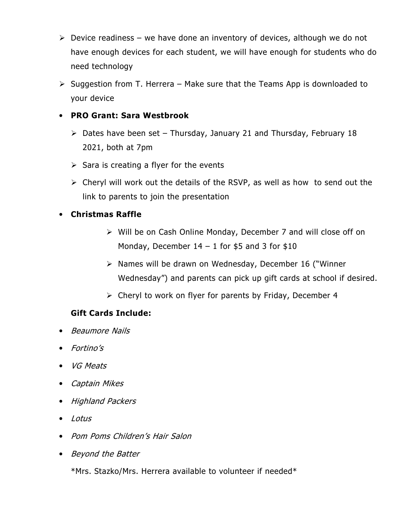- $\triangleright$  Device readiness we have done an inventory of devices, although we do not have enough devices for each student, we will have enough for students who do need technology
- $\triangleright$  Suggestion from T. Herrera Make sure that the Teams App is downloaded to your device

#### • PRO Grant: Sara Westbrook

- $\triangleright$  Dates have been set Thursday, January 21 and Thursday, February 18 2021, both at 7pm
- $\triangleright$  Sara is creating a flyer for the events
- $\triangleright$  Cheryl will work out the details of the RSVP, as well as how to send out the link to parents to join the presentation

#### • Christmas Raffle

- Will be on Cash Online Monday, December 7 and will close off on Monday, December  $14 - 1$  for \$5 and 3 for \$10
- $\triangleright$  Names will be drawn on Wednesday, December 16 ("Winner" Wednesday") and parents can pick up gift cards at school if desired.
- $\triangleright$  Cheryl to work on flyer for parents by Friday, December 4

#### Gift Cards Include:

- Beaumore Nails
- Fortino's
- VG Meats
- Captain Mikes
- Highland Packers
- Lotus
- Pom Poms Children's Hair Salon
- Beyond the Batter

\*Mrs. Stazko/Mrs. Herrera available to volunteer if needed\*